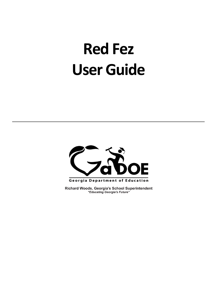# **Red Fez User Guide**



Richard Woods, Georgia's School Superintendent "Educating Georgia's Future"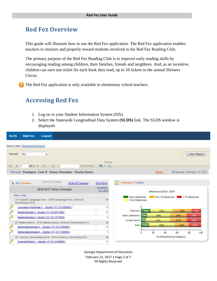## **Red Fez Overview**

This guide will illustrate how to use the Red Fez application. The Red Fez application enables teachers to monitor and properly reward students involved in the Red Fez Reading Club.

The primary purpose of the Red Fez Reading Club is to improve early reading skills by encouraging reading among children, their families, friends and neighbors. And, as an incentive, children can earn one ticket for each book they read, up to 10 tickets to the annual Shriners Circus.

The Red Fez application is only available to elementary school teachers.

## **Accessing Red Fez**

- 1. Log on to your Student Information System (SIS).
- 2. Select the Statewide Longitudinal Data System **(SLDS)** link. The SLDS window is displayed.

| <b>SLDS</b><br><b>Red Fez</b><br>Logout                                       |                    |                                                        |                         |                        |                           |                              |
|-------------------------------------------------------------------------------|--------------------|--------------------------------------------------------|-------------------------|------------------------|---------------------------|------------------------------|
| Quick Links: TeacherDashboard                                                 |                    |                                                        |                         |                        |                           |                              |
| ALL<br>Period:<br>۰                                                           |                    |                                                        |                         |                        |                           | View Report                  |
| of $1 \nightharpoonup$<br>$\mathbb{N}$<br>¢<br>$\vert$ 1                      | Find   Next        | <b>Line Committee</b><br>$\mathbb{R} \cdot \mathbb{Q}$ |                         |                        |                           |                              |
| Welcome Pennington, Carlo R - Kearny Elementary - Dundee District             |                    |                                                        |                         | About                  |                           | Wednesday, February 22, 2017 |
| 2016-2017 Active<br>A My Schedule                                             | 2016-2017 Inactive | 2015-2016                                              | F<br>Attendance Tracker |                        |                           |                              |
| 2016-2017 Active Schedule                                                     |                    | <b>Students</b><br>Enrolled                            |                         | Attendance 2015 - 2016 |                           |                              |
| Year Long                                                                     |                    |                                                        | Zero Absences           |                        | 6 to 10 Absences          | $> 10$ Absences              |
| 23. English Language Arts - 23.00 Language Arts, General,<br>Elementary (K-5) |                    | 34                                                     | 1 to 5 Absences         |                        |                           |                              |
| Language Arts/Grade 5 - Section 117 (23.0060001)                              |                    | 15                                                     |                         |                        |                           |                              |
| Reading/Grade 5 - Section 117 (23.0017000)                                    |                    | 15                                                     | Classroom-              | 16%<br>37%             | 32%                       | 16%                          |
| Reading/Grade 5 - Section 217 (23.1017000)                                    |                    |                                                        | Kearny Elementary - 10% | 38%                    | 28%                       | 24%                          |
| 27. Mathematics - 27.01 Mathematics, General, Elementary K-5                  |                    | 19                                                     | Dundee District - 89%   | 41%                    | 27%                       | 24%                          |
| Mathematics/Grade 5 - Section 117 (27.0160000)                                |                    | 15                                                     | State - 13%             | 43%                    | 24%                       | 20%                          |
| Mathematics/Grade 5 - Section 317 (27.1160000)                                |                    |                                                        |                         |                        |                           |                              |
|                                                                               |                    |                                                        | $\Omega$                | 20                     | 40<br>60                  | 80<br>100                    |
| 41. Science, Elementary (K-5) - 41.01 Science, Elementary K-6                 |                    | 19                                                     |                         |                        | % of Students by Category |                              |
| Science/Grade 5 - Section 117 (41.0160000)                                    |                    | 15                                                     |                         |                        |                           |                              |

Georgia Department of Education February 22, 2017 • Page 2 of 7 All Rights Reserved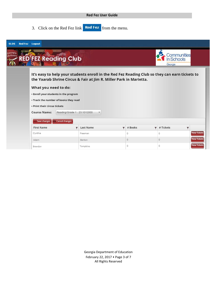#### **Red Fez User Guide**

3. Click on the Red Fez link **Red Fez** from the menu.

| <b>SLDS</b>                | <b>Red Fez</b> Logout                                                                                                                  |                                                                                                                                                                      |               |                           |                     |
|----------------------------|----------------------------------------------------------------------------------------------------------------------------------------|----------------------------------------------------------------------------------------------------------------------------------------------------------------------|---------------|---------------------------|---------------------|
| georgia<br><b>thriners</b> | <b>RED FEZ Reading Club</b>                                                                                                            |                                                                                                                                                                      |               | In Schools<br>Georgia     | Communities         |
|                            | What you need to do:<br>• Enroll your students in the program<br>• Track the number of books they read<br>. Print their circus tickets | It's easy to help your students enroll in the Red Fez Reading Club so they can earn tickets to<br>the Yaarab Shrine Circus & Fair at Jim R. Miller Park in Marietta. |               |                           |                     |
|                            | <b>Course Name:</b>                                                                                                                    | Reading/Grade 1 - 23.1012000<br>۰                                                                                                                                    |               |                           |                     |
|                            | Save changes<br><b>First Name</b>                                                                                                      | Cancel changes<br>Last Name<br>▼                                                                                                                                     | # Books<br>Y. | # Tickets<br>$\mathbf{r}$ |                     |
|                            | Cynthia                                                                                                                                | Freeman                                                                                                                                                              | 0             | $\Omega$                  | <b>View Tickets</b> |
|                            | Adam                                                                                                                                   | Benton                                                                                                                                                               | $\circ$       | $\circ$                   | <b>View Tickets</b> |
|                            | <b>Brandon</b>                                                                                                                         | Tompkins                                                                                                                                                             | $\circ$       | $\overline{0}$            | <b>View Tickets</b> |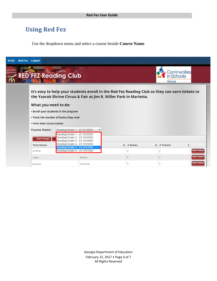## **Using Red Fez**

Use the dropdown menu and select a course beside **Course Name**.

| <b>SLDS</b>         | <b>Red Fez</b> Logout        |                                                                                              |        |                                                                                                                                                                      |          |                         |           |  |                     |  |  |
|---------------------|------------------------------|----------------------------------------------------------------------------------------------|--------|----------------------------------------------------------------------------------------------------------------------------------------------------------------------|----------|-------------------------|-----------|--|---------------------|--|--|
| Georgia<br>shriners | <b>RED'FEZ Reading Club</b>  |                                                                                              |        | Communities<br>n Schools<br>Georgia                                                                                                                                  |          |                         |           |  |                     |  |  |
|                     |                              |                                                                                              |        | It's easy to help your students enroll in the Red Fez Reading Club so they can earn tickets to<br>the Yaarab Shrine Circus & Fair at Jim R. Miller Park in Marietta. |          |                         |           |  |                     |  |  |
|                     | What you need to do:         |                                                                                              |        |                                                                                                                                                                      |          |                         |           |  |                     |  |  |
|                     |                              | • Enroll your students in the program                                                        |        |                                                                                                                                                                      |          |                         |           |  |                     |  |  |
|                     |                              | • Track the number of books they read                                                        |        |                                                                                                                                                                      |          |                         |           |  |                     |  |  |
|                     | • Print their circus tickets |                                                                                              |        |                                                                                                                                                                      |          |                         |           |  |                     |  |  |
|                     | <b>Course Name:</b>          | Reading/Grade 1 - 23.1012000                                                                 |        |                                                                                                                                                                      |          |                         |           |  |                     |  |  |
|                     | Save changes                 | Reading/Grade 1 - 23.1012000<br>Reading/Grade 2 - 23.1013000<br>Reading/Grade 3 - 23.1014000 |        |                                                                                                                                                                      |          |                         |           |  |                     |  |  |
|                     | <b>First Name</b>            | Reading/Grade 4 - 23.1016000                                                                 |        | v                                                                                                                                                                    | # Books  | $\overline{\mathbf{r}}$ | # Tickets |  |                     |  |  |
|                     | Cynthia                      | Reading/Grade 5 - 23.1017000<br>Reading/Grade K - 23.1011000                                 |        |                                                                                                                                                                      | 0        |                         | $\circ$   |  | <b>View Tickets</b> |  |  |
|                     | Adam                         |                                                                                              | Benton |                                                                                                                                                                      | $\theta$ |                         | $\theta$  |  | <b>View Tickets</b> |  |  |
|                     |                              |                                                                                              |        |                                                                                                                                                                      |          |                         |           |  | <b>View Tickets</b> |  |  |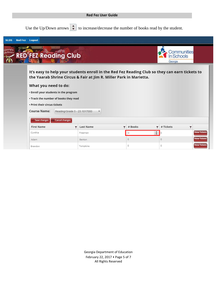#### **Red Fez User Guide**

Use the Up/Down arrows  $\begin{array}{|c|c|c|}\n\hline\n\end{array}$  to increase/decrease the number of books read by the student.

| <b>SLDS</b>        | <b>Red Fez</b> Logout                                                                                  |                                                                                                                                                                      |                    |                                                                     |                          |
|--------------------|--------------------------------------------------------------------------------------------------------|----------------------------------------------------------------------------------------------------------------------------------------------------------------------|--------------------|---------------------------------------------------------------------|--------------------------|
| ;eorgia<br>hriners | <b>RED FEZ Reading Club</b>                                                                            |                                                                                                                                                                      |                    | Communities<br>In Schools<br>Georgia                                |                          |
|                    | What you need to do:<br>• Enroll your students in the program<br>• Track the number of books they read | It's easy to help your students enroll in the Red Fez Reading Club so they can earn tickets to<br>the Yaarab Shrine Circus & Fair at Jim R. Miller Park in Marietta. |                    |                                                                     |                          |
|                    | • Print their circus tickets                                                                           |                                                                                                                                                                      |                    |                                                                     |                          |
|                    | <b>Course Name:</b>                                                                                    | Reading/Grade 5 - 23.1017000<br>v                                                                                                                                    |                    |                                                                     |                          |
|                    | Save changes<br>Cancel changes                                                                         |                                                                                                                                                                      |                    |                                                                     |                          |
|                    | <b>First Name</b><br>Cynthia                                                                           | <b>Last Name</b><br>$\overline{\mathbf{r}}$<br>Freeman                                                                                                               | # Books<br>Y.<br>0 | # Tickets<br>$\overline{\mathbf{r}}$<br>$\frac{1}{\nu}$<br>$\Omega$ | ۳<br><b>View Tickets</b> |
|                    | Adam                                                                                                   | Benton                                                                                                                                                               | $\overline{0}$     | $\theta$                                                            | <b>View Tickets</b>      |
|                    | <b>Brandon</b>                                                                                         | Tompkins                                                                                                                                                             | 0                  | $\circ$                                                             | <b>View Tickets</b>      |

Georgia Department of Education February 22, 2017 • Page 5 of 7 All Rights Reserved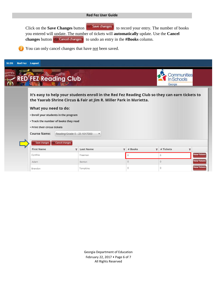#### **Red Fez User Guide**

Click on the **Save Changes** button **vSave changes** to record your entry. The number of books you entered will update. The number of tickets will **automatically** update. Use the **Cancel changes** button **C** Cancel changes to undo an entry in the **#Books** column.

You can only cancel changes that have not been saved.

| Georgia<br>shriners | <b>RED FEZ Reading Club</b>                                                                                                            |                                                       |                                                                                                                                                                      |    |          |                         | In Schools<br>Georgia | Communities             |
|---------------------|----------------------------------------------------------------------------------------------------------------------------------------|-------------------------------------------------------|----------------------------------------------------------------------------------------------------------------------------------------------------------------------|----|----------|-------------------------|-----------------------|-------------------------|
|                     | What you need to do:<br>• Enroll your students in the program<br>• Track the number of books they read<br>• Print their circus tickets |                                                       | It's easy to help your students enroll in the Red Fez Reading Club so they can earn tickets to<br>the Yaarab Shrine Circus & Fair at Jim R. Miller Park in Marietta. |    |          |                         |                       |                         |
|                     | <b>Course Name:</b><br>Save changes<br>$\bullet$                                                                                       | Reading/Grade 5 - 23.1017000<br><b>Cancel changes</b> | $\blacktriangledown$                                                                                                                                                 |    |          |                         |                       |                         |
|                     | <b>First Name</b>                                                                                                                      |                                                       | <b>Last Name</b>                                                                                                                                                     | v. | # Books  | $\overline{\mathbf{r}}$ | # Tickets             | $\overline{\mathbf{r}}$ |
|                     |                                                                                                                                        |                                                       | Freeman                                                                                                                                                              |    | 6        |                         | 6                     | <b>View Tickets</b>     |
|                     | Cynthia                                                                                                                                |                                                       |                                                                                                                                                                      |    |          |                         |                       |                         |
|                     | Adam                                                                                                                                   |                                                       | Benton                                                                                                                                                               |    | $\theta$ |                         | $\theta$              | <b>View Tickets</b>     |

Georgia Department of Education February 22, 2017 • Page 6 of 7 All Rights Reserved